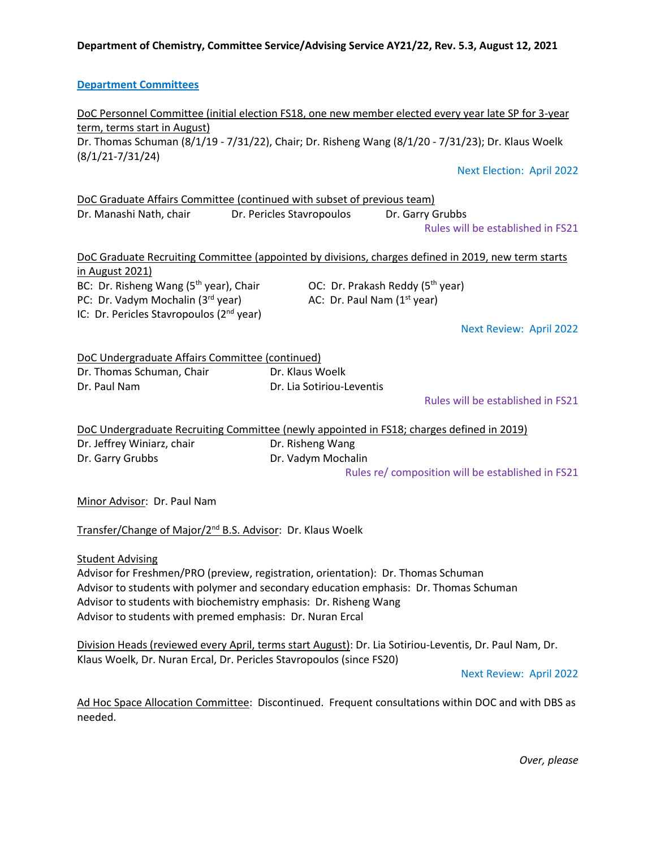#### **Department Committees**

DoC Personnel Committee (initial election FS18, one new member elected every year late SP for 3-year term, terms start in August) Dr. Thomas Schuman (8/1/19 - 7/31/22), Chair; Dr. Risheng Wang (8/1/20 - 7/31/23); Dr. Klaus Woelk (8/1/21-7/31/24)

Next Election: April 2022

DoC Graduate Affairs Committee (continued with subset of previous team) Dr. Manashi Nath, chair Dr. Pericles Stavropoulos Dr. Garry Grubbs

Rules will be established in FS21

| DoC Graduate Recruiting Committee (appointed by divisions, charges defined in 2019, new term starts |                                              |  |
|-----------------------------------------------------------------------------------------------------|----------------------------------------------|--|
| in August 2021)                                                                                     |                                              |  |
| BC: Dr. Risheng Wang $(5th$ year), Chair                                                            | OC: Dr. Prakash Reddy (5 <sup>th</sup> year) |  |
| PC: Dr. Vadym Mochalin (3rd year)                                                                   | AC: Dr. Paul Nam $(1st$ year)                |  |
| IC: Dr. Pericles Stavropoulos (2 <sup>nd</sup> year)                                                |                                              |  |

Next Review: April 2022

| DoC Undergraduate Affairs Committee (continued) |                           |
|-------------------------------------------------|---------------------------|
| Dr. Thomas Schuman. Chair                       | Dr. Klaus Woelk           |
| Dr. Paul Nam                                    | Dr. Lia Sotiriou-Leventis |

Rules will be established in FS21

DoC Undergraduate Recruiting Committee (newly appointed in FS18; charges defined in 2019) Dr. Jeffrey Winiarz, chair **Dr. Risheng Wang** Dr. Garry Grubbs Dr. Vadym Mochalin

Rules re/ composition will be established in FS21

Minor Advisor: Dr. Paul Nam

Transfer/Change of Major/2nd B.S. Advisor: Dr. Klaus Woelk

Student Advising

Advisor for Freshmen/PRO (preview, registration, orientation): Dr. Thomas Schuman Advisor to students with polymer and secondary education emphasis: Dr. Thomas Schuman Advisor to students with biochemistry emphasis: Dr. Risheng Wang Advisor to students with premed emphasis: Dr. Nuran Ercal

Division Heads (reviewed every April, terms start August): Dr. Lia Sotiriou-Leventis, Dr. Paul Nam, Dr. Klaus Woelk, Dr. Nuran Ercal, Dr. Pericles Stavropoulos (since FS20)

Next Review: April 2022

Ad Hoc Space Allocation Committee: Discontinued. Frequent consultations within DOC and with DBS as needed.

*Over, please*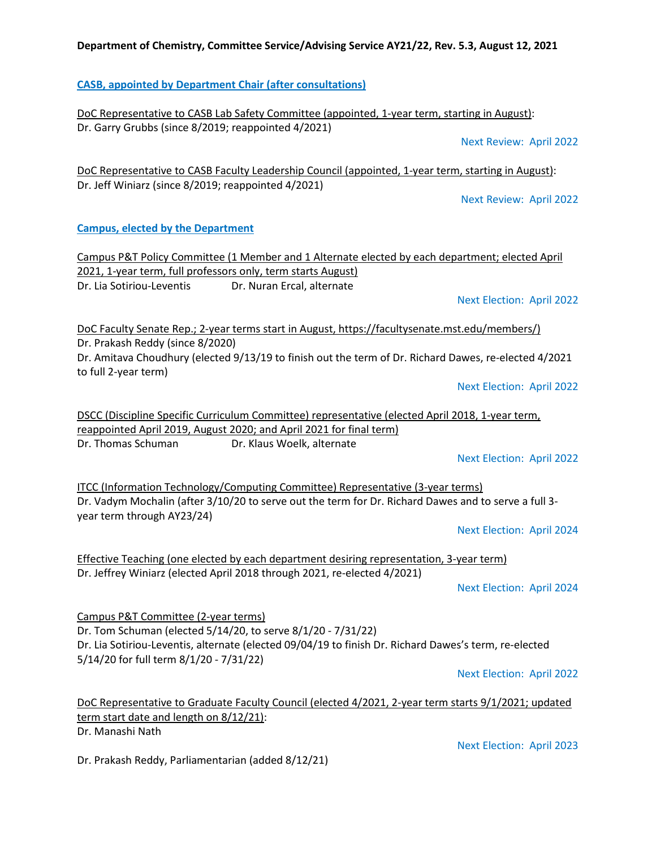### **CASB, appointed by Department Chair (after consultations)**

DoC Representative to CASB Lab Safety Committee (appointed, 1-year term, starting in August): Dr. Garry Grubbs (since 8/2019; reappointed 4/2021)

Next Review: April 2022

DoC Representative to CASB Faculty Leadership Council (appointed, 1-year term, starting in August): Dr. Jeff Winiarz (since 8/2019; reappointed 4/2021)

Next Review: April 2022

#### **Campus, elected by the Department**

Campus P&T Policy Committee (1 Member and 1 Alternate elected by each department; elected April 2021, 1-year term, full professors only, term starts August) Dr. Lia Sotiriou-Leventis Dr. Nuran Ercal, alternate

Next Election: April 2022

DoC Faculty Senate Rep.; 2-year terms start in August, https://facultysenate.mst.edu/members/) Dr. Prakash Reddy (since 8/2020) Dr. Amitava Choudhury (elected 9/13/19 to finish out the term of Dr. Richard Dawes, re-elected 4/2021 to full 2-year term)

Next Election: April 2022

DSCC (Discipline Specific Curriculum Committee) representative (elected April 2018, 1-year term, reappointed April 2019, August 2020; and April 2021 for final term) Dr. Thomas Schuman Dr. Klaus Woelk, alternate

Next Election: April 2022

ITCC (Information Technology/Computing Committee) Representative (3-year terms) Dr. Vadym Mochalin (after 3/10/20 to serve out the term for Dr. Richard Dawes and to serve a full 3 year term through AY23/24)

Next Election: April 2024

Effective Teaching (one elected by each department desiring representation, 3-year term) Dr. Jeffrey Winiarz (elected April 2018 through 2021, re-elected 4/2021)

Next Election: April 2024

Campus P&T Committee (2-year terms) Dr. Tom Schuman (elected 5/14/20, to serve 8/1/20 - 7/31/22) Dr. Lia Sotiriou-Leventis, alternate (elected 09/04/19 to finish Dr. Richard Dawes's term, re-elected 5/14/20 for full term 8/1/20 - 7/31/22)

Next Election: April 2022

DoC Representative to Graduate Faculty Council (elected 4/2021, 2-year term starts 9/1/2021; updated term start date and length on 8/12/21): Dr. Manashi Nath

Dr. Prakash Reddy, Parliamentarian (added 8/12/21)

Next Election: April 2023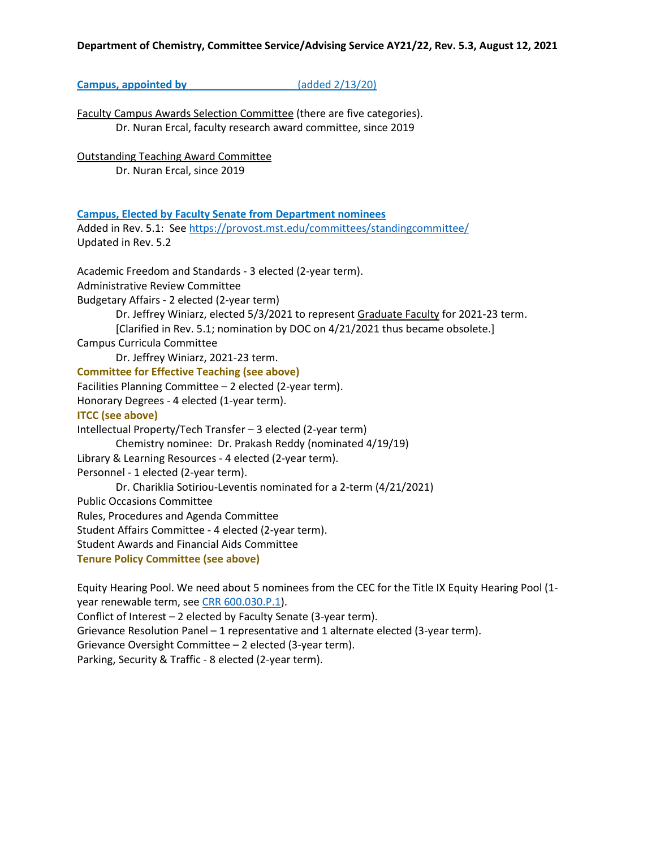**Campus, appointed by**   $\left( \frac{13}{20} \right)$ 

Faculty Campus Awards Selection Committee (there are five categories). Dr. Nuran Ercal, faculty research award committee, since 2019

Outstanding Teaching Award Committee Dr. Nuran Ercal, since 2019

**Campus, Elected by Faculty Senate from Department nominees**

Added in Rev. 5.1: Se[e https://provost.mst.edu/committees/standingcommittee/](https://provost.mst.edu/committees/standingcommittee/) Updated in Rev. 5.2

Academic Freedom and Standards - 3 elected (2-year term). Administrative Review Committee Budgetary Affairs - 2 elected (2-year term) Dr. Jeffrey Winiarz, elected 5/3/2021 to represent Graduate Faculty for 2021-23 term. [Clarified in Rev. 5.1; nomination by DOC on 4/21/2021 thus became obsolete.] Campus Curricula Committee Dr. Jeffrey Winiarz, 2021-23 term. **Committee for Effective Teaching (see above)** Facilities Planning Committee – 2 elected (2-year term). Honorary Degrees - 4 elected (1-year term). **ITCC (see above)** Intellectual Property/Tech Transfer – 3 elected (2-year term) Chemistry nominee: Dr. Prakash Reddy (nominated 4/19/19) Library & Learning Resources - 4 elected (2-year term). Personnel - 1 elected (2-year term). Dr. Chariklia Sotiriou-Leventis nominated for a 2-term (4/21/2021) Public Occasions Committee Rules, Procedures and Agenda Committee Student Affairs Committee - 4 elected (2-year term). Student Awards and Financial Aids Committee **Tenure Policy Committee (see above)**

Equity Hearing Pool. We need about 5 nominees from the CEC for the Title IX Equity Hearing Pool (1 year renewable term, se[e CRR 600.030.P.1\)](https://www.umsystem.edu/ums/rules/collected_rules/equal_employment_educational_opportunity/ch600/600.030_equity_resolution_process_for_resolving_complaints_of_harassment). Conflict of Interest – 2 elected by Faculty Senate (3-year term). Grievance Resolution Panel – 1 representative and 1 alternate elected (3-year term). Grievance Oversight Committee – 2 elected (3-year term). Parking, Security & Traffic - 8 elected (2-year term).